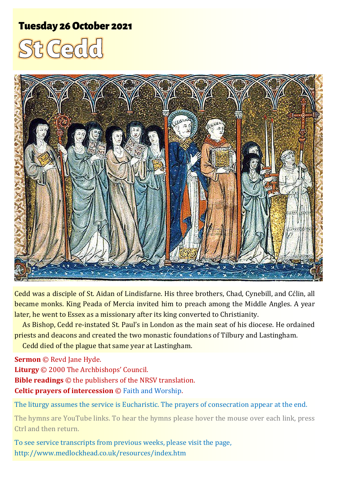# **Tuesday 26 October 2021**





Cedd was a disciple of St. Aidan of Lindisfarne. His three brothers, Chad, Cynebill, and Cćlin, all became monks. King Peada of Mercia invited him to preach among the Middle Angles. A year later, he went to Essex as a missionary after its king converted to Christianity.

As Bishop, Cedd re-instated St. Paul's in London as the main seat of his diocese. He ordained priests and deacons and created the two monastic foundations of Tilbury and Lastingham.

Cedd died of the plague that same year at Lastingham.

**Sermon** © Revd Jane Hyde.

**Liturgy** © 2000 The Archbishops' Council. **Bible readings** © the publishers of the NRSV translation. **Celtic prayers of intercession** © [Faith and Worship.](https://www.faithandworship.com/Celtic_Blessings_and_Prayers.htm#gsc.tab=0)

The liturgy assumes the service is Eucharistic. The prayers of consecration appear at the end.

The hymns are YouTube links. To hear the hymns please hover the mouse over each link, press Ctrl and then return.

To see service transcripts from previous weeks, please visit the page, <http://www.medlockhead.co.uk/resources/index.htm>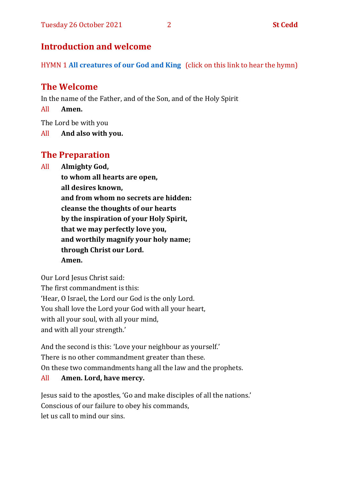# **Introduction and welcome**

HYMN 1 **[All creatures of our God and King](https://www.youtube.com/watch?v=0d3gO6qDLNA)** (click on this link to hear the hymn)

# **The Welcome**

In the name of the Father, and of the Son, and of the Holy Spirit

All **Amen.**

The Lord be with you

All **And also with you.**

# **The Preparation**

All **Almighty God,**

**to whom all hearts are open, all desires known, and from whom no secrets are hidden: cleanse the thoughts of our hearts by the inspiration of your Holy Spirit, that we may perfectly love you, and worthily magnify your holy name; through Christ our Lord. Amen.**

Our Lord Jesus Christ said: The first commandment is this: 'Hear, O Israel, the Lord our God is the only Lord. You shall love the Lord your God with all your heart, with all your soul, with all your mind, and with all your strength.'

And the second is this: 'Love your neighbour as yourself.' There is no other commandment greater than these. On these two commandments hang all the law and the prophets. All **Amen. Lord, have mercy.**

Jesus said to the apostles, 'Go and make disciples of all the nations.' Conscious of our failure to obey his commands, let us call to mind our sins.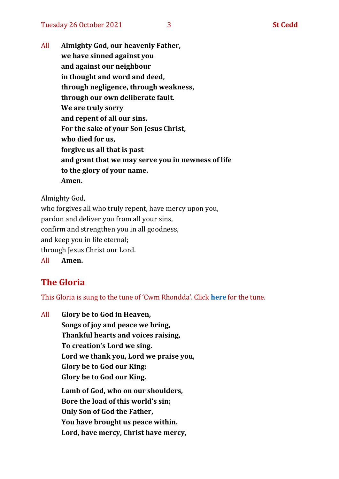All **Almighty God, our heavenly Father, we have sinned against you and against our neighbour in thought and word and deed, through negligence, through weakness, through our own deliberate fault. We are truly sorry and repent of all our sins. For the sake of your Son Jesus Christ, who died for us, forgive us all that is past and grant that we may serve you in newness of life to the glory of your name. Amen.**

Almighty God,

who forgives all who truly repent, have mercy upon you, pardon and deliver you from all your sins, confirm and strengthen you in all goodness, and keep you in life eternal; through Jesus Christ our Lord. All **Amen.**

# **The Gloria**

This Gloria is sung to the tune of 'Cwm Rhondda'. Click **[here](https://www.youtube.com/watch?v=l71MLQ22dIk)** for the tune.

All **Glory be to God in Heaven, Songs of joy and peace we bring, Thankful hearts and voices raising, To creation's Lord we sing. Lord we thank you, Lord we praise you, Glory be to God our King: Glory be to God our King. Lamb of God, who on our shoulders, Bore the load of this world's sin; Only Son of God the Father, You have brought us peace within. Lord, have mercy, Christ have mercy,**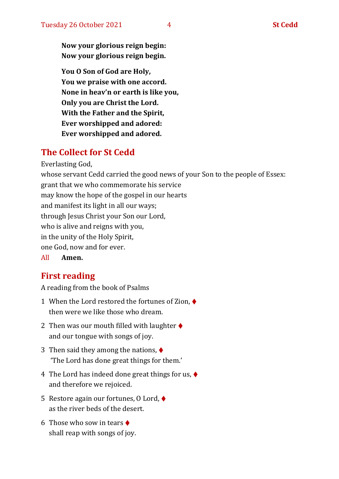**Now your glorious reign begin: Now your glorious reign begin.**

**You O Son of God are Holy, You we praise with one accord. None in heav'n or earth is like you, Only you are Christ the Lord. With the Father and the Spirit, Ever worshipped and adored: Ever worshipped and adored.**

# **The Collect for St Cedd**

Everlasting God,

whose servant Cedd carried the good news of your Son to the people of Essex: grant that we who commemorate his service may know the hope of the gospel in our hearts and manifest its light in all our ways; through Jesus Christ your Son our Lord, who is alive and reigns with you, in the unity of the Holy Spirit, one God, now and for ever.

All **Amen.**

# **First reading**

A reading from the book of Psalms

- 1 When the Lord restored the fortunes of Zion, ♦ then were we like those who dream.
- 2 Then was our mouth filled with laughter  $\triangle$ and our tongue with songs of joy.
- 3 Then said they among the nations,  $\blacklozenge$ 'The Lord has done great things for them.'
- 4 The Lord has indeed done great things for us,  $\blacklozenge$ and therefore we rejoiced.
- 5 Restore again our fortunes, O Lord, ♦ as the river beds of the desert.
- 6 Those who sow in tears  $\triangleleft$ shall reap with songs of joy.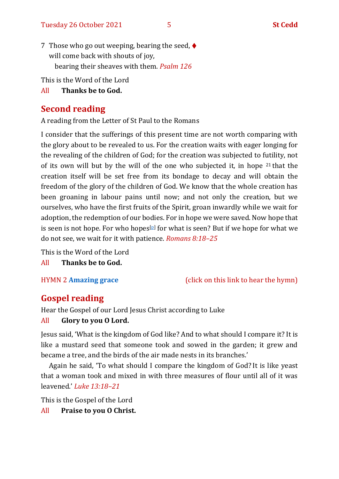7 Those who go out weeping, bearing the seed,  $\blacklozenge$ will come back with shouts of joy, bearing their sheaves with them. *Psalm 126*

This is the Word of the Lord

#### All **Thanks be to God.**

# **Second reading**

A reading from the Letter of St Paul to the Romans

I consider that the sufferings of this present time are not worth comparing with the glory about to be revealed to us. For the creation waits with eager longing for the revealing of the children of God; for the creation was subjected to futility, not of its own will but by the will of the one who subjected it, in hope <sup>21</sup> that the creation itself will be set free from its bondage to decay and will obtain the freedom of the glory of the children of God. We know that the whole creation has been groaning in labour pains until now; and not only the creation, but we ourselves, who have the first fruits of the Spirit, groan inwardly while we wait for adoption, the redemption of our bodies. For in hope we were saved. Now hope that is seen is not hope. For who hopes $[$  $\mathfrak{p}$  for what is seen? But if we hope for what we do not see, we wait for it with patience. *Romans 8:18–25*

This is the Word of the Lord

All **Thanks be to God.**

#### HYMN 2 **[Amazing grace](https://www.youtube.com/watch?v=CDdvReNKKuk)** (click on this link to hear the hymn)

# **Gospel reading**

Hear the Gospel of our Lord Jesus Christ according to Luke

#### All **Glory to you O Lord.**

Jesus said, 'What is the kingdom of God like? And to what should I compare it? It is like a mustard seed that someone took and sowed in the garden; it grew and became a tree, and the birds of the air made nests in its branches.'

Again he said, 'To what should I compare the kingdom of God? It is like yeast that a woman took and mixed in with three measures of flour until all of it was leavened.' *Luke 13:18–21*

This is the Gospel of the Lord

All **Praise to you O Christ.**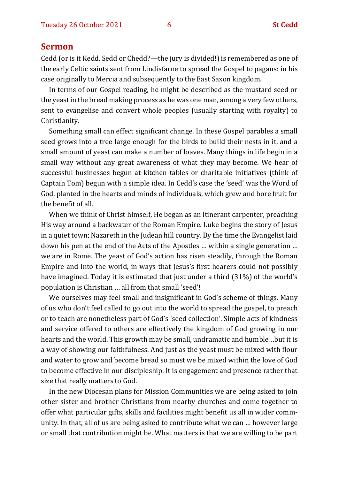#### **Sermon**

Cedd (or is it Kedd, Sedd or Chedd?—the jury is divided!) is remembered as one of the early Celtic saints sent from Lindisfarne to spread the Gospel to pagans: in his case originally to Mercia and subsequently to the East Saxon kingdom.

In terms of our Gospel reading, he might be described as the mustard seed or the yeast in the bread making process as he was one man, among a very few others, sent to evangelise and convert whole peoples (usually starting with royalty) to Christianity.

Something small can effect significant change. In these Gospel parables a small seed grows into a tree large enough for the birds to build their nests in it, and a small amount of yeast can make a number of loaves. Many things in life begin in a small way without any great awareness of what they may become. We hear of successful businesses begun at kitchen tables or charitable initiatives (think of Captain Tom) begun with a simple idea. In Cedd's case the 'seed' was the Word of God, planted in the hearts and minds of individuals, which grew and bore fruit for the benefit of all.

When we think of Christ himself, He began as an itinerant carpenter, preaching His way around a backwater of the Roman Empire. Luke begins the story of Jesus in a quiet town; Nazareth in the Judean hill country. By the time the Evangelist laid down his pen at the end of the Acts of the Apostles … within a single generation … we are in Rome. The yeast of God's action has risen steadily, through the Roman Empire and into the world, in ways that Jesus's first hearers could not possibly have imagined. Today it is estimated that just under a third (31%) of the world's population is Christian … all from that small 'seed'!

We ourselves may feel small and insignificant in God's scheme of things. Many of us who don't feel called to go out into the world to spread the gospel, to preach or to teach are nonetheless part of God's 'seed collection'. Simple acts of kindness and service offered to others are effectively the kingdom of God growing in our hearts and the world. This growth may be small, undramatic and humble…but it is a way of showing our faithfulness. And just as the yeast must be mixed with flour and water to grow and become bread so must we be mixed within the love of God to become effective in our discipleship. It is engagement and presence rather that size that really matters to God.

In the new Diocesan plans for Mission Communities we are being asked to join other sister and brother Christians from nearby churches and come together to offer what particular gifts, skills and facilities might benefit us all in wider community. In that, all of us are being asked to contribute what we can … however large or small that contribution might be. What matters is that we are willing to be part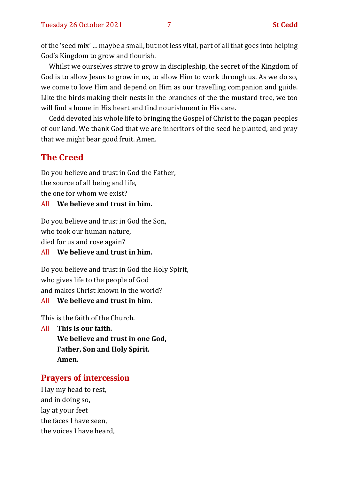of the 'seed mix' … maybe a small, but not less vital, part of all that goes into helping God's Kingdom to grow and flourish.

Whilst we ourselves strive to grow in discipleship, the secret of the Kingdom of God is to allow Jesus to grow in us, to allow Him to work through us. As we do so, we come to love Him and depend on Him as our travelling companion and guide. Like the birds making their nests in the branches of the the mustard tree, we too will find a home in His heart and find nourishment in His care.

Cedd devoted his whole life to bringing the Gospel of Christ to the pagan peoples of our land. We thank God that we are inheritors of the seed he planted, and pray that we might bear good fruit. Amen.

## **The Creed**

Do you believe and trust in God the Father, the source of all being and life, the one for whom we exist?

#### All **We believe and trust in him.**

Do you believe and trust in God the Son, who took our human nature, died for us and rose again?

#### All **We believe and trust in him.**

Do you believe and trust in God the Holy Spirit, who gives life to the people of God and makes Christ known in the world? All **We believe and trust in him.**

This is the faith of the Church.

All **This is our faith. We believe and trust in one God, Father, Son and Holy Spirit. Amen.**

#### **Prayers of intercession**

I lay my head to rest, and in doing so, lay at your feet the faces I have seen, the voices I have heard,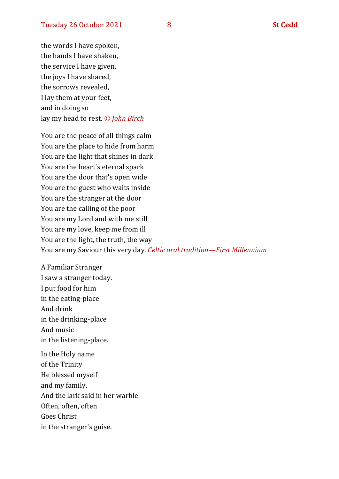the words I have spoken, the hands I have shaken, the service I have given, the joys I have shared, the sorrows revealed, I lay them at your feet, and in doing so lay my head to rest. *© John Birch*

You are the peace of all things calm You are the place to hide from harm You are the light that shines in dark You are the heart's eternal spark You are the door that's open wide You are the guest who waits inside You are the stranger at the door You are the calling of the poor You are my Lord and with me still You are my love, keep me from ill You are the light, the truth, the way You are my Saviour this very day. *Celtic oral tradition—First Millennium*

A Familiar Stranger I saw a stranger today. I put food for him in the eating-place And drink in the drinking-place And music in the listening-place.

In the Holy name of the Trinity He blessed myself and my family. And the lark said in her warble Often, often, often Goes Christ in the stranger's guise.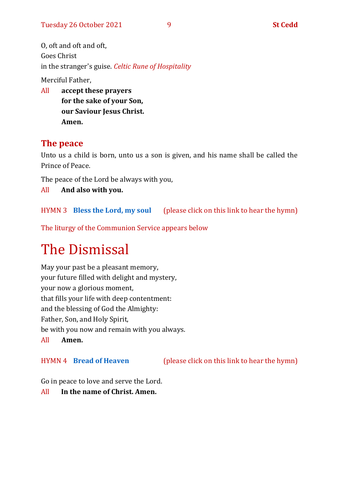O, oft and oft and oft, Goes Christ in the stranger's guise. *Celtic Rune of Hospitality*

Merciful Father,

All **accept these prayers for the sake of your Son, our Saviour Jesus Christ. Amen.**

## **The peace**

Unto us a child is born, unto us a son is given, and his name shall be called the Prince of Peace.

The peace of the Lord be always with you,

All **And also with you.**

HYMN 3 **[Bless the Lord, my soul](https://www.youtube.com/watch?v=3IC2XWBxktk)** (please click on this link to hear the hymn)

The liturgy of the Communion Service appears below

# The Dismissal

May your past be a pleasant memory, your future filled with delight and mystery, your now a glorious moment, that fills your life with deep contentment: and the blessing of God the Almighty: Father, Son, and Holy Spirit, be with you now and remain with you always. All **Amen.**

HYMN 4 **[Bread of Heaven](https://www.youtube.com/watch?v=j7IEwZQqh2o)** (please click on this link to hear the hymn)

Go in peace to love and serve the Lord.

All **In the name of Christ. Amen.**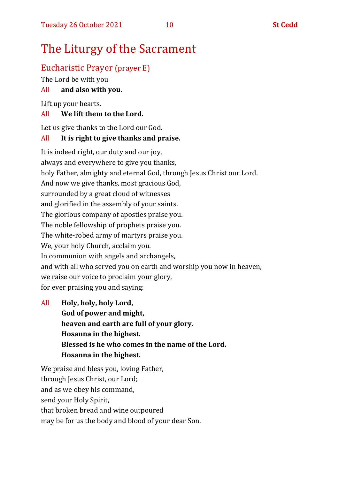## Eucharistic Prayer (prayer E)

The Lord be with you

#### All **and also with you.**

Lift up your hearts.

#### All **We lift them to the Lord.**

Let us give thanks to the Lord our God.

#### All **It is right to give thanks and praise.**

It is indeed right, our duty and our joy, always and everywhere to give you thanks, holy Father, almighty and eternal God, through Jesus Christ our Lord. And now we give thanks, most gracious God, surrounded by a great cloud of witnesses and glorified in the assembly of your saints. The glorious company of apostles praise you. The noble fellowship of prophets praise you. The white-robed army of martyrs praise you. We, your holy Church, acclaim you. In communion with angels and archangels, and with all who served you on earth and worship you now in heaven, we raise our voice to proclaim your glory, for ever praising you and saying:

All **Holy, holy, holy Lord, God of power and might, heaven and earth are full of your glory. Hosanna in the highest. Blessed is he who comes in the name of the Lord. Hosanna in the highest.**

We praise and bless you, loving Father, through Jesus Christ, our Lord; and as we obey his command, send your Holy Spirit, that broken bread and wine outpoured may be for us the body and blood of your dear Son.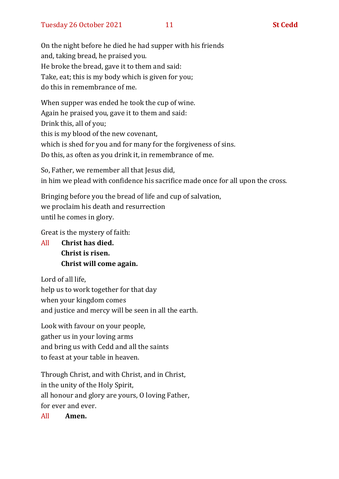On the night before he died he had supper with his friends and, taking bread, he praised you. He broke the bread, gave it to them and said: Take, eat; this is my body which is given for you; do this in remembrance of me.

When supper was ended he took the cup of wine. Again he praised you, gave it to them and said: Drink this, all of you; this is my blood of the new covenant, which is shed for you and for many for the forgiveness of sins. Do this, as often as you drink it, in remembrance of me.

So, Father, we remember all that Jesus did, in him we plead with confidence his sacrifice made once for all upon the cross.

Bringing before you the bread of life and cup of salvation, we proclaim his death and resurrection until he comes in glory.

Great is the mystery of faith:

All **Christ has died. Christ is risen. Christ will come again.**

Lord of all life, help us to work together for that day when your kingdom comes and justice and mercy will be seen in all the earth.

Look with favour on your people, gather us in your loving arms and bring us with Cedd and all the saints to feast at your table in heaven.

Through Christ, and with Christ, and in Christ, in the unity of the Holy Spirit, all honour and glory are yours, O loving Father, for ever and ever.

All **Amen.**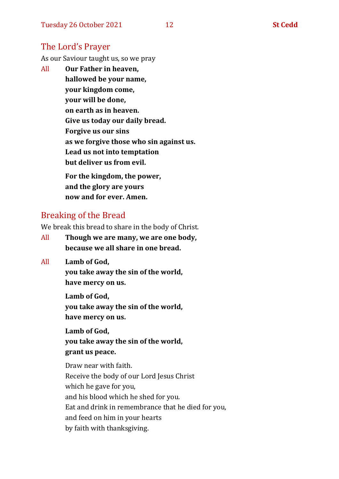## The Lord's Prayer

As our Saviour taught us, so we pray

All **Our Father in heaven, hallowed be your name, your kingdom come, your will be done, on earth as in heaven. Give us today our daily bread. Forgive us our sins as we forgive those who sin against us. Lead us not into temptation but deliver us from evil. For the kingdom, the power,** 

**and the glory are yours now and for ever. Amen.**

## Breaking of the Bread

We break this bread to share in the body of Christ.

- All **Though we are many, we are one body, because we all share in one bread.**
- All **Lamb of God,**

**you take away the sin of the world, have mercy on us.**

**Lamb of God, you take away the sin of the world, have mercy on us.**

**Lamb of God, you take away the sin of the world, grant us peace.**

Draw near with faith. Receive the body of our Lord Jesus Christ which he gave for you, and his blood which he shed for you. Eat and drink in remembrance that he died for you, and feed on him in your hearts by faith with thanksgiving.